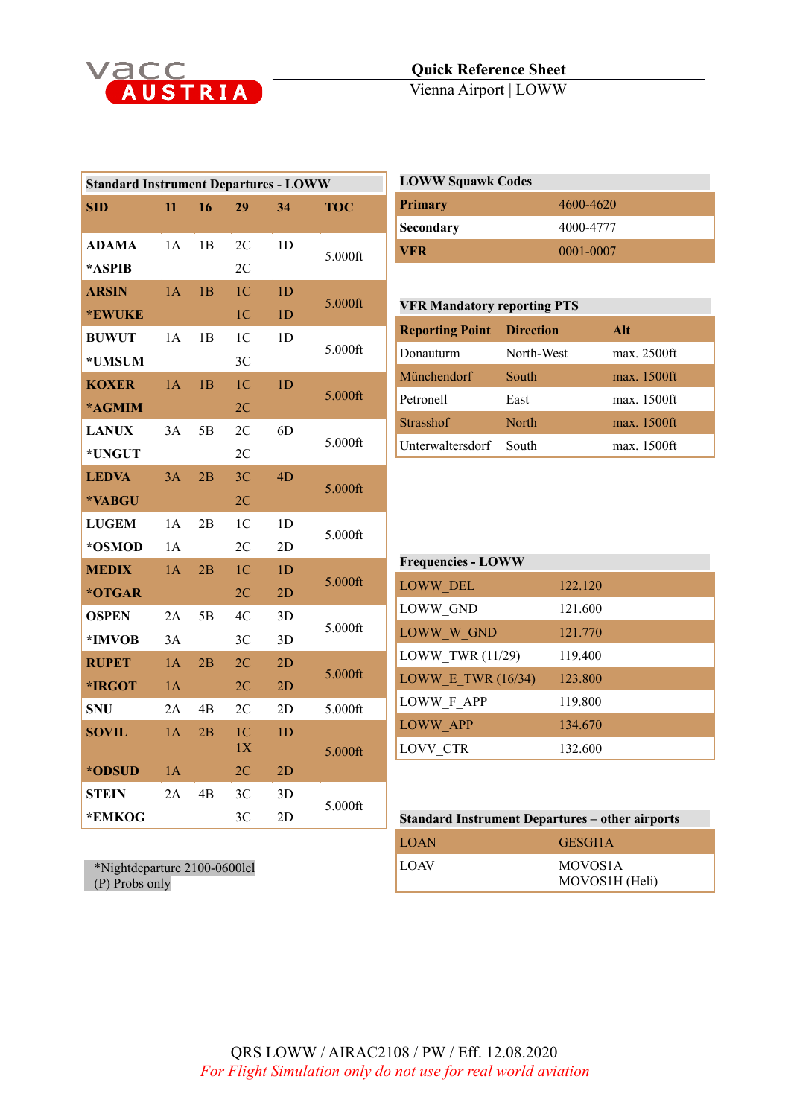

| <b>Standard Instrument Departures - LOWW</b> |     |    |                |                |            |  |
|----------------------------------------------|-----|----|----------------|----------------|------------|--|
| <b>SID</b>                                   | 11  | 16 | 29             | 34             | <b>TOC</b> |  |
|                                              |     |    |                |                |            |  |
| <b>ADAMA</b>                                 | 1A  | 1B | 2C             | 1 <sub>D</sub> | 5.000ft    |  |
| *ASPIB                                       |     |    | 2C             |                |            |  |
| <b>ARSIN</b>                                 | 1A  | 1B | 1 <sup>C</sup> | 1D             | 5.000ft    |  |
| *EWUKE                                       |     |    | 1 <sup>C</sup> | 1D             |            |  |
| <b>BUWUT</b>                                 | 1A  | 1B | 1 <sup>C</sup> | 1 <sub>D</sub> | 5.000ft    |  |
| *UMSUM                                       |     |    | 3 <sup>C</sup> |                |            |  |
| <b>KOXER</b>                                 | 1A  | 1B | 1 <sup>C</sup> | 1D             |            |  |
| *AGMIM                                       |     |    | 2C             |                | 5.000ft    |  |
| <b>LANUX</b>                                 | 3A  | 5Β | 2C             | 6 <sub>D</sub> |            |  |
| *UNGUT                                       |     |    | 2C             |                | 5.000ft    |  |
| <b>LEDVA</b>                                 | 3A  | 2B | 3 <sup>C</sup> | 4D             |            |  |
| *VABGU                                       |     |    | 2C             |                | 5.000ft    |  |
| <b>LUGEM</b>                                 | 1A  | 2B | 1 <sup>C</sup> | 1 <sub>D</sub> | 5.000ft    |  |
| *OSMOD                                       | 1 A |    | 2C             | 2D             |            |  |
| <b>MEDIX</b>                                 | 1A  | 2B | 1 <sup>C</sup> | 1D             |            |  |
| *OTGAR                                       |     |    | 2C             | 2D             | 5.000ft    |  |
| <b>OSPEN</b>                                 | 2A  | 5Β | 4C             | 3D             | 5.000ft    |  |
| *IMVOB                                       | 3A  |    | 3 <sup>C</sup> | 3D             |            |  |
| <b>RUPET</b>                                 | 1A  | 2B | 2 <sup>C</sup> | 2D             |            |  |
| *IRGOT                                       | 1A  |    | 2C             | 2D             | 5.000ft    |  |
| <b>SNU</b>                                   | 2A  | 4B | 2C             | 2D             | 5.000ft    |  |
| <b>SOVIL</b>                                 | 1A  | 2B | 1 <sup>C</sup> | 1D             |            |  |
|                                              |     |    | 1X             |                | 5.000ft    |  |
| *ODSUD                                       | 1A  |    | 2C             | 2D             |            |  |
| <b>STEIN</b>                                 | 2A  | 4B | 3 <sup>C</sup> | 3D             | 5.000ft    |  |
| *EMKOG                                       |     |    | 3C             | 2D             |            |  |

| <b>LOWW Squawk Codes</b> |           |  |
|--------------------------|-----------|--|
| Primary                  | 4600-4620 |  |
| Secondary                | 4000-4777 |  |
| <b>VFR</b>               | 0001-0007 |  |

| <b>VFR Mandatory reporting PTS</b> |            |             |  |
|------------------------------------|------------|-------------|--|
| <b>Reporting Point Direction</b>   |            | Alt         |  |
| Donauturm                          | North-West | max. 2500ft |  |
| Münchendorf                        | South      | max. 1500ft |  |
| Petronell                          | East       | max. 1500ft |  |
| <b>Strasshof</b>                   | North      | max. 1500ft |  |
| Unterwaltersdorf                   | South      | max. 1500ft |  |

| <b>Frequencies - LOWW</b> |         |  |  |
|---------------------------|---------|--|--|
| LOWW_DEL                  | 122.120 |  |  |
| LOWW GND                  | 121.600 |  |  |
| LOWW W GND                | 121.770 |  |  |
| LOWW TWR (11/29)          | 119.400 |  |  |
| LOWW E TWR $(16/34)$      | 123.800 |  |  |
| LOWW F APP                | 119.800 |  |  |
| <b>LOWW APP</b>           | 134.670 |  |  |
| <b>LOVV CTR</b>           | 132.600 |  |  |

| <b>Standard Instrument Departures – other airports</b> |                                        |  |
|--------------------------------------------------------|----------------------------------------|--|
| <b>LOAN</b>                                            | GESGI1A                                |  |
| <b>LOAV</b>                                            | MOVOS <sub>1</sub> A<br>MOVOS1H (Heli) |  |

\*Nightdeparture 2100-0600lcl (P) Probs only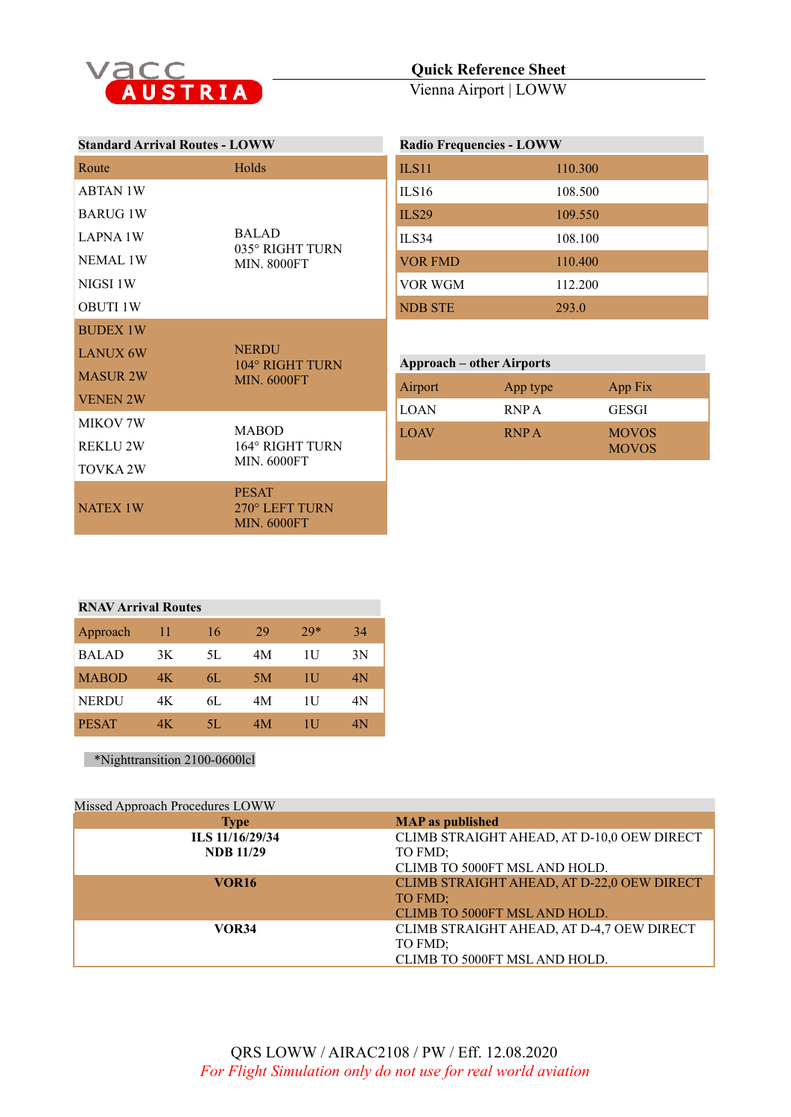

## **Quick Reference Sheet**

Vienna Airport | LOWW

| <b>Standard Arrival Routes - LOWW</b> |                                                       | <b>Radio Frequencies - LOWW</b>  |             |              |  |
|---------------------------------------|-------------------------------------------------------|----------------------------------|-------------|--------------|--|
| Route                                 | Holds                                                 | <b>ILS11</b>                     | 110.300     |              |  |
| <b>ABTAN 1W</b>                       |                                                       | ILS16                            | 108.500     |              |  |
| <b>BARUG 1W</b>                       |                                                       | <b>ILS29</b>                     | 109.550     |              |  |
| <b>LAPNA 1W</b>                       | <b>BALAD</b><br>035° RIGHT TURN<br><b>MIN. 8000FT</b> | ILS34                            | 108.100     |              |  |
| <b>NEMAL 1W</b>                       |                                                       | <b>VOR FMD</b>                   | 110.400     |              |  |
| NIGSI 1W                              |                                                       | <b>VOR WGM</b>                   | 112.200     |              |  |
| <b>OBUTI 1W</b>                       |                                                       | <b>NDB STE</b>                   | 293.0       |              |  |
| <b>BUDEX 1W</b>                       |                                                       |                                  |             |              |  |
| <b>LANUX 6W</b>                       | <b>NERDU</b><br>104° RIGHT TURN<br><b>MIN. 6000FT</b> | <b>Approach – other Airports</b> |             |              |  |
| <b>MASUR 2W</b>                       |                                                       | Airport                          | App type    | App Fix      |  |
| <b>VENEN 2W</b>                       |                                                       | <b>LOAN</b>                      | RNP A       | <b>GESGI</b> |  |
| <b>MIKOV 7W</b>                       | <b>MABOD</b>                                          | <b>LOAV</b>                      | <b>RNPA</b> | <b>MOVOS</b> |  |
| <b>REKLU 2W</b>                       | 164° RIGHT TURN                                       |                                  |             | <b>MOVOS</b> |  |
| <b>TOVKA 2W</b>                       | <b>MIN. 6000FT</b>                                    |                                  |             |              |  |
| <b>NATEX 1W</b>                       | <b>PESAT</b><br>270° LEFT TURN<br><b>MIN. 6000FT</b>  |                                  |             |              |  |

| <b>RNAV Arrival Routes</b> |     |     |    |       |    |
|----------------------------|-----|-----|----|-------|----|
| Approach                   | 11  | 16  | 29 | $29*$ | 34 |
| <b>BALAD</b>               | 3K  | 5L  | 4M | Ħ     | 3N |
| <b>MABOD</b>               | 4K  | 6L  | 5M | Ш     | 4N |
| <b>NERDU</b>               | 4K  | 6L  | 4M | 1U    | 4N |
| <b>PESAT</b>               | 4K. | 5L. | 4M | 111   | 4Ν |

\*Nighttransition 2100-0600lcl

| Missed Approach Procedures LOWW |                                            |
|---------------------------------|--------------------------------------------|
| <b>Type</b>                     | <b>MAP</b> as published                    |
| ILS 11/16/29/34                 | CLIMB STRAIGHT AHEAD, AT D-10,0 OEW DIRECT |
| <b>NDB</b> 11/29                | TO FMD;                                    |
|                                 | CLIMB TO 5000FT MSL AND HOLD.              |
| <b>VOR16</b>                    | CLIMB STRAIGHT AHEAD, AT D-22,0 OEW DIRECT |
|                                 | TO FMD;                                    |
|                                 | CLIMB TO 5000FT MSL AND HOLD.              |
| <b>VOR34</b>                    | CLIMB STRAIGHT AHEAD, AT D-4,7 OEW DIRECT  |
|                                 | TO FMD;                                    |
|                                 | CLIMB TO 5000FT MSL AND HOLD.              |